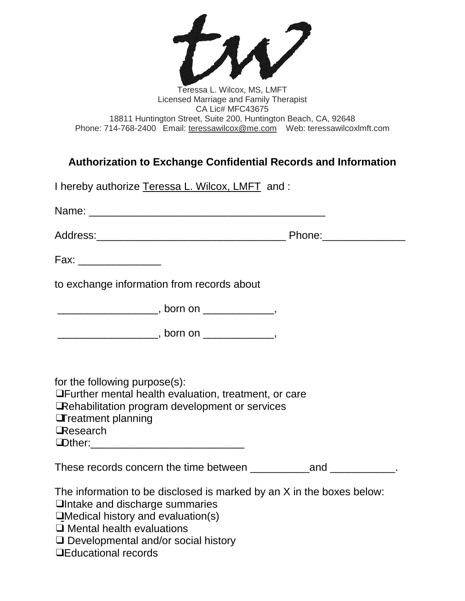

## Teressa L. Wilcox, MS, LMFT Licensed Marriage and Family Therapist CA Lic# MFC43675 18811 Huntington Street, Suite 200, Huntington Beach, CA, 92648 Phone: 714-768-2400 Email: [teressawilcox@me.com](mailto:teressawilcox@me.com) Web: teressawilcoxlmft.com

## **Authorization to Exchange Confidential Records and Information**

| I hereby authorize Teressa L. Wilcox, LMFT and: |  |
|-------------------------------------------------|--|
|-------------------------------------------------|--|

Name: \_\_\_\_\_\_\_\_\_\_\_\_\_\_\_\_\_\_\_\_\_\_\_\_\_\_\_\_\_\_\_\_\_\_\_\_\_\_\_\_

Address:\_\_\_\_\_\_\_\_\_\_\_\_\_\_\_\_\_\_\_\_\_\_\_\_\_\_\_\_\_\_\_\_ Phone:\_\_\_\_\_\_\_\_\_\_\_\_\_\_

Fax:  $\overline{z}$ 

to exchange information from records about

 $\blacksquare$  , born on  $\blacksquare$ 

\_\_\_\_\_\_\_\_\_\_\_\_\_\_\_\_\_\_\_\_\_\_\_, born on \_\_\_\_\_\_\_\_\_\_\_\_\_\_\_\_,

for the following purpose(s):

❑Further mental health evaluation, treatment, or care

❑Rehabilitation program development or services

❑Treatment planning

❑Research

 $\blacksquare$ Other:

These records concern the time between \_\_\_\_\_\_\_\_\_\_\_\_\_\_\_\_\_\_\_\_\_\_\_\_\_.

The information to be disclosed is marked by an X in the boxes below:

❑Intake and discharge summaries

❑Medical history and evaluation(s)

❑ Mental health evaluations

❑ Developmental and/or social history

❑Educational records